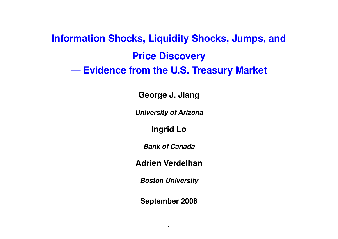# **Information Shocks, Liquidity Shocks, Jumps, and Price Discovery — Evidence from the U.S. Treasury Market**

**George J. Jiang**

*University of Arizona*

**Ingrid Lo**

*Bank of Canada*

**Adrien Verdelhan**

*Boston University*

**September 2008**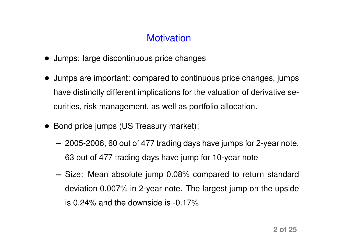# **Motivation**

- Jumps: large discontinuous price changes
- Jumps are important: compared to continuous price changes, jumps have distinctly different implications for the valuation of derivative securities, risk management, as well as portfolio allocation.
- Bond price jumps (US Treasury market):
	- **–** 2005-2006, 60 out of 477 trading days have jumps for 2-year note, 63 out of 477 trading days have jump for 10-year note
	- **–** Size: Mean absolute jump 0.08% compared to return standard deviation 0.007% in 2-year note. The largest jump on the upside is 0.24% and the downside is -0.17%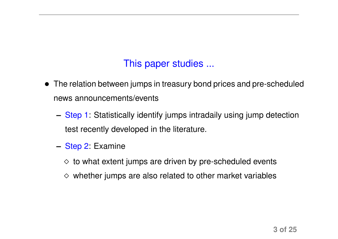# This paper studies ...

- The relation between jumps in treasury bond prices and pre-scheduled news announcements/events
	- **–** Step 1: Statistically identify jumps intradaily using jump detection test recently developed in the literature.
	- **–** Step 2: Examine
		- $\Diamond$  to what extent jumps are driven by pre-scheduled events
		- $\diamond$  whether jumps are also related to other market variables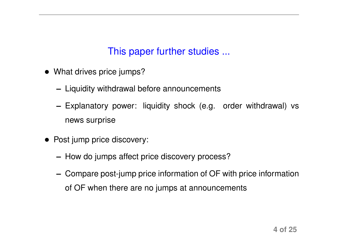# This paper further studies ...

- What drives price jumps?
	- **–** Liquidity withdrawal before announcements
	- **–** Explanatory power: liquidity shock (e.g. order withdrawal) vs news surprise
- Post jump price discovery:
	- **–** How do jumps affect price discovery process?
	- **–** Compare post-jump price information of OF with price information of OF when there are no jumps at announcements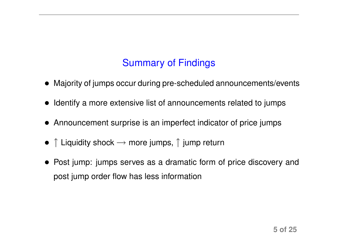# Summary of Findings

- Majority of jumps occur during pre-scheduled announcements/events
- Identify a more extensive list of announcements related to jumps
- Announcement surprise is an imperfect indicator of price jumps
- $\uparrow$  Liquidity shock  $\rightarrow$  more jumps,  $\uparrow$  jump return
- Post jump: jumps serves as a dramatic form of price discovery and post jump order flow has less information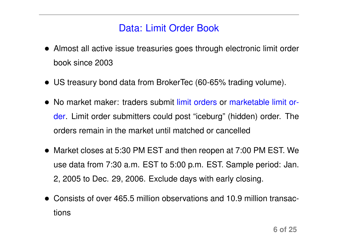### Data: Limit Order Book

- Almost all active issue treasuries goes through electronic limit order book since 2003
- US treasury bond data from BrokerTec (60-65% trading volume).
- No market maker: traders submit limit orders or marketable limit order. Limit order submitters could post "iceburg" (hidden) order. The orders remain in the market until matched or cancelled
- Market closes at 5:30 PM EST and then reopen at 7:00 PM EST. We use data from 7:30 a.m. EST to 5:00 p.m. EST. Sample period: Jan. 2, 2005 to Dec. 29, 2006. Exclude days with early closing.
- Consists of over 465.5 million observations and 10.9 million transactions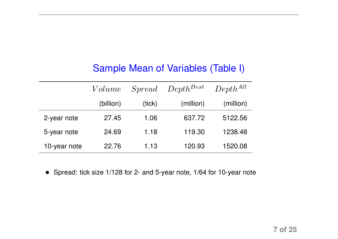### Sample Mean of Variables (Table I)

|              | Volume    | $S$ <i>pread</i> | $Depth^{Best}$ | $Depth^{All}$ |
|--------------|-----------|------------------|----------------|---------------|
|              | (billion) | (tick)           | (million)      | (million)     |
| 2-year note  | 27.45     | 1.06             | 637.72         | 5122.56       |
| 5-year note  | 24.69     | 1.18             | 119.30         | 1238.48       |
| 10-year note | 22.76     | 1.13             | 120.93         | 1520.08       |

• Spread: tick size 1/128 for 2- and 5-year note, 1/64 for 10-year note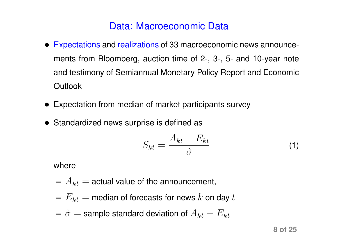### Data: Macroeconomic Data

- Expectations and realizations of 33 macroeconomic news announcements from Bloomberg, auction time of 2-, 3-, 5- and 10-year note and testimony of Semiannual Monetary Policy Report and Economic **Outlook**
- Expectation from median of market participants survey
- Standardized news surprise is defined as

$$
S_{kt} = \frac{A_{kt} - E_{kt}}{\hat{\sigma}}
$$
 (1)

where

- $A_{kt}$  = actual value of the announcement,
- $E_{kt}$  = median of forecasts for news k on day t

- 
$$
\hat{\sigma}
$$
 = sample standard deviation of  $A_{kt} - E_{kt}$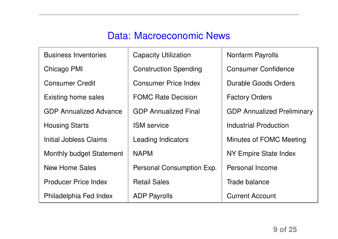# Data: Macroeconomic News

| <b>Business Inventories</b>     | <b>Capacity Utilization</b>  | <b>Nonfarm Payrolls</b>           |
|---------------------------------|------------------------------|-----------------------------------|
| Chicago PMI                     | <b>Construction Spending</b> | <b>Consumer Confidence</b>        |
| <b>Consumer Credit</b>          | <b>Consumer Price Index</b>  | Durable Goods Orders              |
| Existing home sales             | <b>FOMC Rate Decision</b>    | <b>Factory Orders</b>             |
| <b>GDP Annualized Advance</b>   | <b>GDP Annualized Final</b>  | <b>GDP Annualized Preliminary</b> |
| <b>Housing Starts</b>           | <b>ISM</b> service           | Industrial Production             |
| Initial Jobless Claims          | <b>Leading Indicators</b>    | Minutes of FOMC Meeting           |
| <b>Monthly budget Statement</b> | <b>NAPM</b>                  | NY Empire State Index             |
| <b>New Home Sales</b>           | Personal Consumption Exp.    | Personal Income                   |
| <b>Producer Price Index</b>     | <b>Retail Sales</b>          | Trade balance                     |
| Philadelphia Fed Index          | <b>ADP Payrolls</b>          | <b>Current Account</b>            |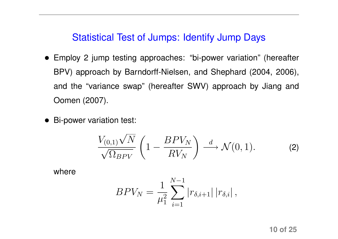### Statistical Test of Jumps: Identify Jump Days

- Employ 2 jump testing approaches: "bi-power variation" (hereafter BPV) approach by Barndorff-Nielsen, and Shephard (2004, 2006), and the "variance swap" (hereafter SWV) approach by Jiang and Oomen (2007).
- Bi-power variation test:

$$
\frac{V_{(0,1)}\sqrt{N}}{\sqrt{\Omega_{BPV}}} \left(1 - \frac{BPV_N}{RV_N}\right) \stackrel{d}{\longrightarrow} \mathcal{N}(0,1). \tag{2}
$$

where

$$
BPV_N = \frac{1}{\mu_1^2} \sum_{i=1}^{N-1} |r_{\delta,i+1}| |r_{\delta,i}|,
$$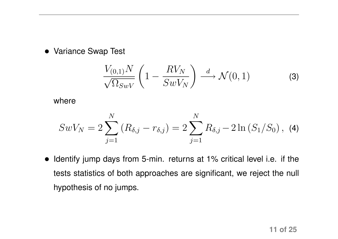• Variance Swap Test

$$
\frac{V_{(0,1)}N}{\sqrt{\Omega_{SWV}}} \left(1 - \frac{RV_N}{SwV_N}\right) \stackrel{d}{\longrightarrow} \mathcal{N}(0,1)
$$
 (3)

where

$$
SwV_N = 2\sum_{j=1}^N (R_{\delta,j} - r_{\delta,j}) = 2\sum_{j=1}^N R_{\delta,j} - 2\ln(S_1/S_0), \tag{4}
$$

• Identify jump days from 5-min. returns at 1% critical level i.e. if the tests statistics of both approaches are significant, we reject the null hypothesis of no jumps.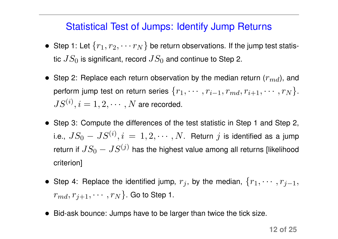### Statistical Test of Jumps: Identify Jump Returns

- Step 1: Let  $\{r_1, r_2, \cdots r_N\}$  be return observations. If the jump test statistic  $JS_{0}$  is significant, record  $JS_{0}$  and continue to Step 2.
- Step 2: Replace each return observation by the median return  $(r_{md})$ , and perform jump test on return series  $\{r_1, \cdots, r_{i-1}, r_{md}, r_{i+1}, \cdots, r_N\}$ .  $JS^{(i)}, i=1,2,\cdots,N$  are recorded.
- Step 3: Compute the differences of the test statistic in Step 1 and Step 2, i.e.,  $JS_{0}-JS^{(i)},i\,=\,1,2,\cdots,N.$  Return  $j$  is identified as a jump return if  $JS_{0}-JS^{(j)}$  has the highest value among all returns [likelihood criterion]
- Step 4: Replace the identified jump,  $r_j$ , by the median,  $\{r_1, \cdots, r_{j-1},$  $r_{md}, r_{i+1}, \cdots, r_N$ . Go to Step 1.
- Bid-ask bounce: Jumps have to be larger than twice the tick size.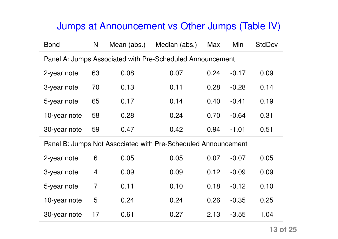# Jumps at Announcement vs Other Jumps (Table IV)

| <b>Bond</b>                                               | N              | Mean (abs.) | Median (abs.)                                                 | <b>Max</b> | Min     | <b>StdDev</b> |  |  |
|-----------------------------------------------------------|----------------|-------------|---------------------------------------------------------------|------------|---------|---------------|--|--|
| Panel A: Jumps Associated with Pre-Scheduled Announcement |                |             |                                                               |            |         |               |  |  |
| 2-year note                                               | 63             | 0.08        | 0.07                                                          | 0.24       | $-0.17$ | 0.09          |  |  |
| 3-year note                                               | 70             | 0.13        | 0.11                                                          | 0.28       | $-0.28$ | 0.14          |  |  |
| 5-year note                                               | 65             | 0.17        | 0.14                                                          | 0.40       | $-0.41$ | 0.19          |  |  |
| 10-year note                                              | 58             | 0.28        | 0.24                                                          | 0.70       | $-0.64$ | 0.31          |  |  |
| 30-year note                                              | 59             | 0.47        | 0.42                                                          | 0.94       | $-1.01$ | 0.51          |  |  |
|                                                           |                |             | Panel B: Jumps Not Associated with Pre-Scheduled Announcement |            |         |               |  |  |
| 2-year note                                               | 6              | 0.05        | 0.05                                                          | 0.07       | $-0.07$ | 0.05          |  |  |
| 3-year note                                               | $\overline{4}$ | 0.09        | 0.09                                                          | 0.12       | $-0.09$ | 0.09          |  |  |
| 5-year note                                               | 7              | 0.11        | 0.10                                                          | 0.18       | $-0.12$ | 0.10          |  |  |
| 10-year note                                              | 5              | 0.24        | 0.24                                                          | 0.26       | $-0.35$ | 0.25          |  |  |
| 30-year note                                              | 17             | 0.61        | 0.27                                                          | 2.13       | $-3.55$ | 1.04          |  |  |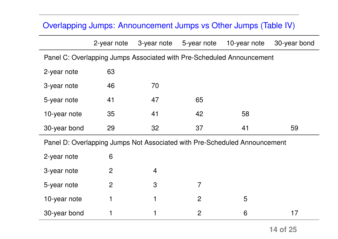#### Overlapping Jumps: Announcement Jumps vs Other Jumps (Table IV)

|                                                                       | 2-year note    | 3-year note    | 5-year note | 10-year note                                                              | 30-year bond |  |  |  |  |
|-----------------------------------------------------------------------|----------------|----------------|-------------|---------------------------------------------------------------------------|--------------|--|--|--|--|
| Panel C: Overlapping Jumps Associated with Pre-Scheduled Announcement |                |                |             |                                                                           |              |  |  |  |  |
| 2-year note                                                           | 63             |                |             |                                                                           |              |  |  |  |  |
| 3-year note                                                           | 46             | 70             |             |                                                                           |              |  |  |  |  |
| 5-year note                                                           | 41             | 47             | 65          |                                                                           |              |  |  |  |  |
| 10-year note                                                          | 35             | 41             | 42          | 58                                                                        |              |  |  |  |  |
| 30-year bond                                                          | 29             | 32             | 37          | 41                                                                        | 59           |  |  |  |  |
|                                                                       |                |                |             | Panel D: Overlapping Jumps Not Associated with Pre-Scheduled Announcement |              |  |  |  |  |
| 2-year note                                                           | 6              |                |             |                                                                           |              |  |  |  |  |
| 3-year note                                                           | $\overline{2}$ | $\overline{4}$ |             |                                                                           |              |  |  |  |  |
| 5-year note                                                           | $\overline{2}$ | 3              |             |                                                                           |              |  |  |  |  |
| 10-year note                                                          |                |                | 2           | 5                                                                         |              |  |  |  |  |

| 30-year bond |  |  |  |
|--------------|--|--|--|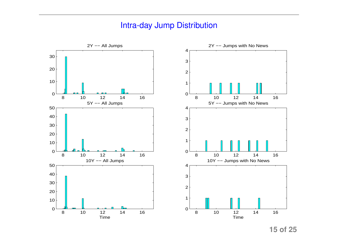#### Intra-day Jump Distribution

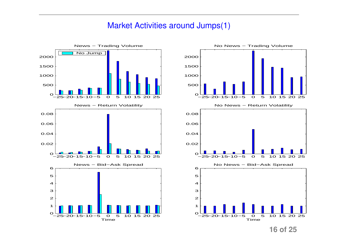#### Market Activities around Jumps(1)



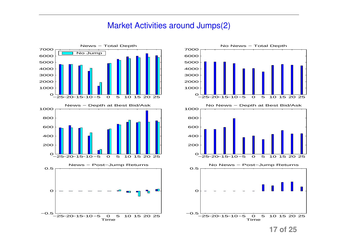#### Market Activities around Jumps(2)



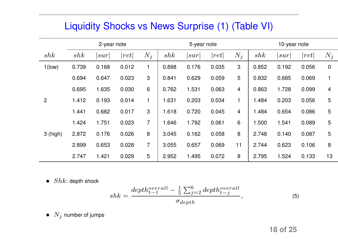### Liquidity Shocks vs News Surprise (1) (Table VI)

|            | 2-year note |       |                      |                | 5-year note |       |                      | 10-year note |       |       |                      |                |
|------------|-------------|-------|----------------------|----------------|-------------|-------|----------------------|--------------|-------|-------|----------------------|----------------|
| shk        | shk         | sur   | $\left  ret \right $ | $N_j$          | shk         | sur   | $\left  ret \right $ | $N_i$        | shk   | sur   | $\left  ret \right $ | $N_j$          |
| $1$ (low)  | 0.739       | 0.168 | 0.012                |                | 0.898       | 0.176 | 0.035                | 3            | 0.852 | 0.192 | 0.056                | $\overline{0}$ |
|            | 0.694       | 0.647 | 0.023                | 3              | 0.841       | 0.629 | 0.059                | 5            | 0.832 | 0.685 | 0.069                |                |
|            | 0.695       | 1.635 | 0.030                | $6\phantom{1}$ | 0.762       | 1.531 | 0.063                | 4            | 0.863 | 1.728 | 0.099                | 4              |
| 2          | 1.412       | 0.193 | 0.014                | 1              | 1.631       | 0.203 | 0.034                | 1            | 1.484 | 0.203 | 0.056                | 5              |
|            | 1.441       | 0.682 | 0.017                | 3              | 1.618       | 0.720 | 0.045                | 4            | 1.484 | 0.654 | 0.086                | 5              |
|            | 1.424       | 1.751 | 0.023                | $\overline{7}$ | 1.646       | 1.792 | 0.061                | 6            | 1.500 | 1.541 | 0.089                | 5              |
| $3$ (high) | 2.872       | 0.176 | 0.026                | 8              | 3.045       | 0.162 | 0.058                | 8            | 2.748 | 0.140 | 0.087                | 5              |
|            | 2.899       | 0.653 | 0.028                | $\overline{7}$ | 3.055       | 0.657 | 0.069                | 11           | 2.744 | 0.623 | 0.106                | 8              |
|            | 2.747       | 1.421 | 0.029                | 5              | 2.952       | 1.495 | 0.072                | 8            | 2.795 | 1.524 | 0.133                | 13             |

•  $Shk$ : depth shock

$$
shk = \frac{depth_{t-1}^{overall} - \frac{1}{5} \sum_{j=2}^{6} depth_{t-j}^{overall}}{\sigma_{depth}}, \tag{5}
$$

•  $N_j$  number of jumps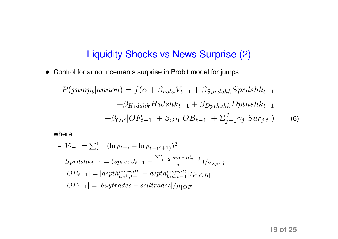### Liquidity Shocks vs News Surprise (2)

• Control for announcements surprise in Probit model for jumps

$$
P(jump_t|annou) = f(\alpha + \beta_{vola}V_{t-1} + \beta_{Sprdshk}Sprdshk_{t-1}
$$

$$
+\beta_{Hidshk}Hidshk_{t-1} + \beta_{Dpthshk}Dpthshk_{t-1}
$$

$$
+\beta_{OF}|OF_{t-1}| + \beta_{OB}|OB_{t-1}| + \sum_{j=1}^{J} \gamma_j|Sur_{j,t}|)
$$
(6)

where

- 
$$
V_{t-1} = \sum_{i=1}^{6} (\ln p_{t-i} - \ln p_{t-(i+1)})^2
$$
  
\n-  $Sprdshk_{t-1} = (spread_{t-1} - \frac{\sum_{j=2}^{6} spread_{t-j}}{5}) / \sigma_{sprd}$   
\n-  $|OB_{t-1}| = |depth_{ask,t-1}^{overall} - depth_{bid,t-1}^{overall} | / \mu_{|OB|}$   
\n-  $|OF_{t-1}| = |buytrades - selltrades | / \mu_{|OF|}$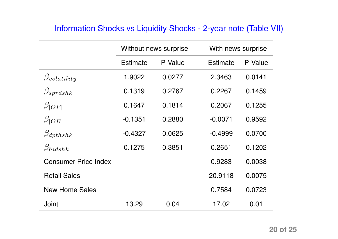#### Information Shocks vs Liquidity Shocks - 2-year note (Table VII)

|                             | Without news surprise |         | With news surprise |         |
|-----------------------------|-----------------------|---------|--------------------|---------|
|                             | Estimate              | P-Value | Estimate           | P-Value |
| $\beta_{volatility}$        | 1.9022                | 0.0277  | 2.3463             | 0.0141  |
| $\beta_{sprdshk}$           | 0.1319                | 0.2767  | 0.2267             | 0.1459  |
| $\beta_{ OF }$              | 0.1647                | 0.1814  | 0.2067             | 0.1255  |
| $\beta_{ OB }$              | $-0.1351$             | 0.2880  | $-0.0071$          | 0.9592  |
| $\beta_{\text{dpt}hshk}$    | $-0.4327$             | 0.0625  | $-0.4999$          | 0.0700  |
| $\beta_{hidshk}$            | 0.1275                | 0.3851  | 0.2651             | 0.1202  |
| <b>Consumer Price Index</b> |                       |         | 0.9283             | 0.0038  |
| <b>Retail Sales</b>         |                       |         | 20.9118            | 0.0075  |
| <b>New Home Sales</b>       |                       |         | 0.7584             | 0.0723  |
| Joint                       | 13.29                 | 0.04    | 17.02              | 0.01    |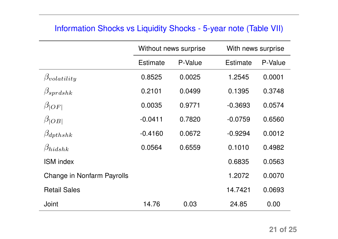#### Information Shocks vs Liquidity Shocks - 5-year note (Table VII)

|                            |                 | Without news surprise | With news surprise |         |
|----------------------------|-----------------|-----------------------|--------------------|---------|
|                            | <b>Estimate</b> | P-Value               | <b>Estimate</b>    | P-Value |
| $\beta_{volatility}$       | 0.8525          | 0.0025                | 1.2545             | 0.0001  |
| $\beta_{sprdshk}$          | 0.2101          | 0.0499                | 0.1395             | 0.3748  |
| $\beta_{ OF }$             | 0.0035          | 0.9771                | $-0.3693$          | 0.0574  |
| $\beta_{ OB }$             | $-0.0411$       | 0.7820                | $-0.0759$          | 0.6560  |
| $\beta_{\text{dpt}hshk}$   | $-0.4160$       | 0.0672                | $-0.9294$          | 0.0012  |
| $\beta_{hidshk}$           | 0.0564          | 0.6559                | 0.1010             | 0.4982  |
| <b>ISM</b> index           |                 |                       | 0.6835             | 0.0563  |
| Change in Nonfarm Payrolls |                 |                       | 1.2072             | 0.0070  |
| <b>Retail Sales</b>        |                 |                       | 14.7421            | 0.0693  |
| Joint                      | 14.76           | 0.03                  | 24.85              | 0.00    |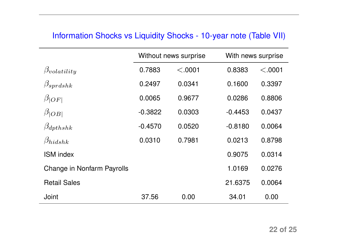#### Information Shocks vs Liquidity Shocks - 10-year note (Table VII)

|                                   |           | Without news surprise | With news surprise |         |
|-----------------------------------|-----------|-----------------------|--------------------|---------|
| $\beta_{volatility}$              | 0.7883    | < .0001               | 0.8383             | < .0001 |
| $\beta_{sprdshk}$                 | 0.2497    | 0.0341                | 0.1600             | 0.3397  |
| $\beta_{ OF }$                    | 0.0065    | 0.9677                | 0.0286             | 0.8806  |
| $\beta_{ OB }$                    | $-0.3822$ | 0.0303                | $-0.4453$          | 0.0437  |
| $\beta_{\text{dpt}hshk}$          | $-0.4570$ | 0.0520                | $-0.8180$          | 0.0064  |
| $\beta_{hidshk}$                  | 0.0310    | 0.7981                | 0.0213             | 0.8798  |
| <b>ISM</b> index                  |           |                       | 0.9075             | 0.0314  |
| <b>Change in Nonfarm Payrolls</b> |           |                       | 1.0169             | 0.0276  |
| <b>Retail Sales</b>               |           |                       | 21.6375            | 0.0064  |
| Joint                             | 37.56     | 0.00                  | 34.01              | 0.00    |

 $\overline{\phantom{0}}$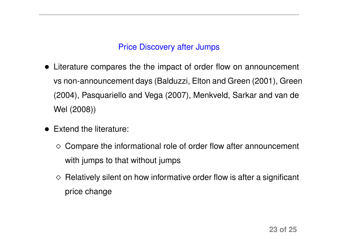#### Price Discovery after Jumps

- Literature compares the the impact of order flow on announcement vs non-announcement days (Balduzzi, Elton and Green (2001), Green (2004), Pasquariello and Vega (2007), Menkveld, Sarkar and van de Wel (2008))
- Extend the literature:
	- ¦ Compare the informational role of order flow after announcement with jumps to that without jumps
	- $\Diamond$  Relatively silent on how informative order flow is after a significant price change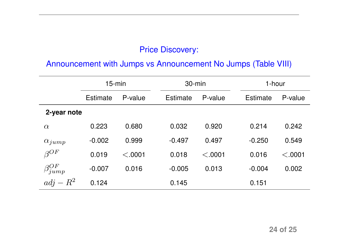#### Price Discovery:

#### Announcement with Jumps vs Announcement No Jumps (Table VIII)

|                     | $15$ -min |         |  | $30 - min$      |         | 1-hour          |         |  |
|---------------------|-----------|---------|--|-----------------|---------|-----------------|---------|--|
|                     | Estimate  | P-value |  | <b>Estimate</b> | P-value | <b>Estimate</b> | P-value |  |
| 2-year note         |           |         |  |                 |         |                 |         |  |
| $\alpha$            | 0.223     | 0.680   |  | 0.032           | 0.920   | 0.214           | 0.242   |  |
| $\alpha_{jump}$     | $-0.002$  | 0.999   |  | $-0.497$        | 0.497   | $-0.250$        | 0.549   |  |
| $\beta^{OF}$        | 0.019     | < .0001 |  | 0.018           | < .0001 | 0.016           | < .0001 |  |
| $\beta_{jump}^{OF}$ | $-0.007$  | 0.016   |  | $-0.005$        | 0.013   | $-0.004$        | 0.002   |  |
| $adj - R^2$         | 0.124     |         |  | 0.145           |         | 0.151           |         |  |